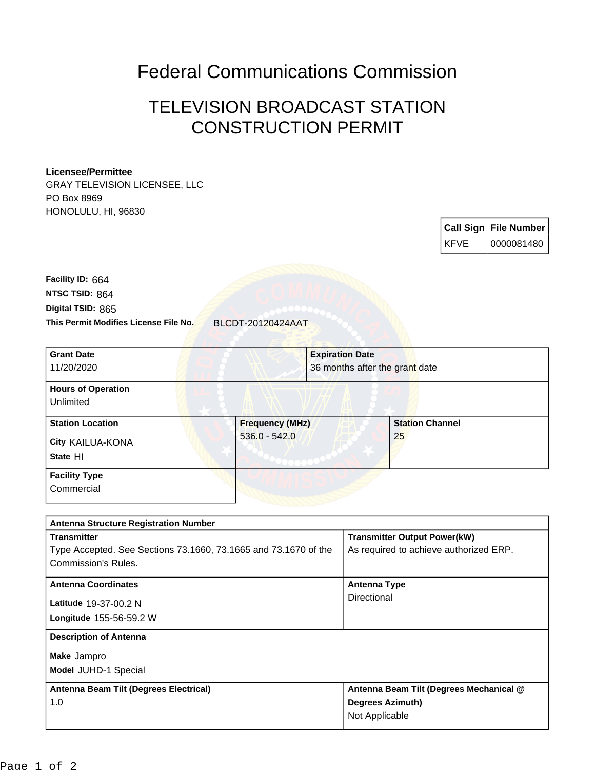## Federal Communications Commission

## TELEVISION BROADCAST STATION CONSTRUCTION PERMIT

## **Licensee/Permittee**

GRAY TELEVISION LICENSEE, LLC PO Box 8969 HONOLULU, HI, 96830

> **Call Sign File Number** KFVE 0000081480

**This Permit Modifies License File No.** BLCDT-20120424AAT **Digital TSID:** 865 **NTSC TSID:** 864 **Facility ID:** 664

| <b>Grant Date</b><br>11/20/2020                         | <b>Expiration Date</b>                    | 36 months after the grant date |
|---------------------------------------------------------|-------------------------------------------|--------------------------------|
| <b>Hours of Operation</b><br>Unlimited                  |                                           |                                |
| <b>Station Location</b><br>City KAILUA-KONA<br>State HI | <b>Frequency (MHz)</b><br>$536.0 - 542.0$ | <b>Station Channel</b><br>25   |
| <b>Facility Type</b><br>Commercial                      |                                           |                                |

| <b>Antenna Structure Registration Number</b>                    |                                         |  |  |
|-----------------------------------------------------------------|-----------------------------------------|--|--|
| <b>Transmitter</b>                                              | <b>Transmitter Output Power(kW)</b>     |  |  |
| Type Accepted. See Sections 73.1660, 73.1665 and 73.1670 of the | As required to achieve authorized ERP.  |  |  |
| Commission's Rules.                                             |                                         |  |  |
| <b>Antenna Coordinates</b>                                      | <b>Antenna Type</b>                     |  |  |
| Latitude 19-37-00.2 N                                           | Directional                             |  |  |
| <b>Longitude 155-56-59.2 W</b>                                  |                                         |  |  |
| <b>Description of Antenna</b>                                   |                                         |  |  |
| Make Jampro                                                     |                                         |  |  |
| Model JUHD-1 Special                                            |                                         |  |  |
| Antenna Beam Tilt (Degrees Electrical)                          | Antenna Beam Tilt (Degrees Mechanical @ |  |  |
| 1.0                                                             | <b>Degrees Azimuth)</b>                 |  |  |
|                                                                 | Not Applicable                          |  |  |
|                                                                 |                                         |  |  |